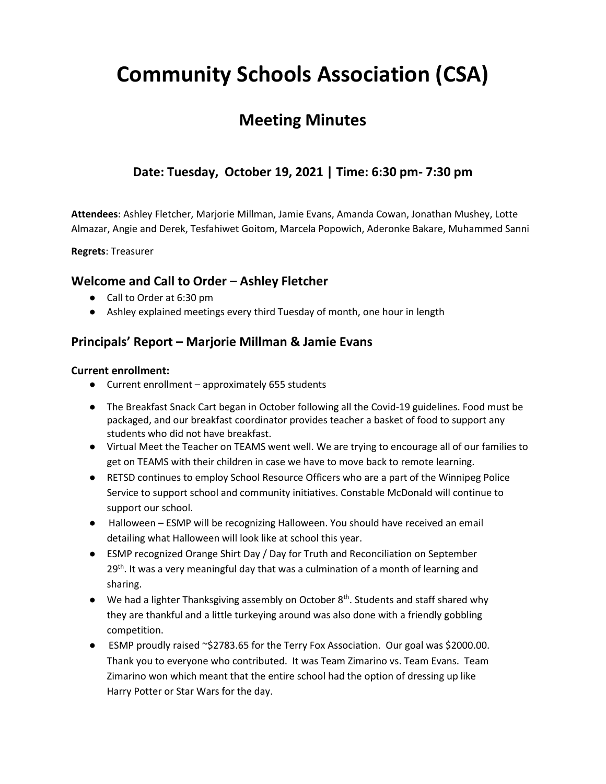# **Community Schools Association (CSA)**

## **Meeting Minutes**

### **Date: Tuesday, October 19, 2021 | Time: 6:30 pm- 7:30 pm**

**Attendees**: Ashley Fletcher, Marjorie Millman, Jamie Evans, Amanda Cowan, Jonathan Mushey, Lotte Almazar, Angie and Derek, Tesfahiwet Goitom, Marcela Popowich, Aderonke Bakare, Muhammed Sanni

**Regrets**: Treasurer

### **Welcome and Call to Order – Ashley Fletcher**

- Call to Order at 6:30 pm
- Ashley explained meetings every third Tuesday of month, one hour in length

### **Principals' Report – Marjorie Millman & Jamie Evans**

#### **Current enrollment:**

- Current enrollment approximately 655 students
- The Breakfast Snack Cart began in October following all the Covid-19 guidelines. Food must be packaged, and our breakfast coordinator provides teacher a basket of food to support any students who did not have breakfast.
- Virtual Meet the Teacher on TEAMS went well. We are trying to encourage all of our families to get on TEAMS with their children in case we have to move back to remote learning.
- RETSD continues to employ School Resource Officers who are a part of the Winnipeg Police Service to support school and community initiatives. Constable McDonald will continue to support our school.
- Halloween ESMP will be recognizing Halloween. You should have received an email detailing what Halloween will look like at school this year.
- ESMP recognized Orange Shirt Day / Day for Truth and Reconciliation on September  $29<sup>th</sup>$ . It was a very meaningful day that was a culmination of a month of learning and sharing.
- $\bullet$  We had a lighter Thanksgiving assembly on October  $8<sup>th</sup>$ . Students and staff shared why they are thankful and a little turkeying around was also done with a friendly gobbling competition.
- ESMP proudly raised ~\$2783.65 for the Terry Fox Association. Our goal was \$2000.00. Thank you to everyone who contributed. It was Team Zimarino vs. Team Evans. Team Zimarino won which meant that the entire school had the option of dressing up like Harry Potter or Star Wars for the day.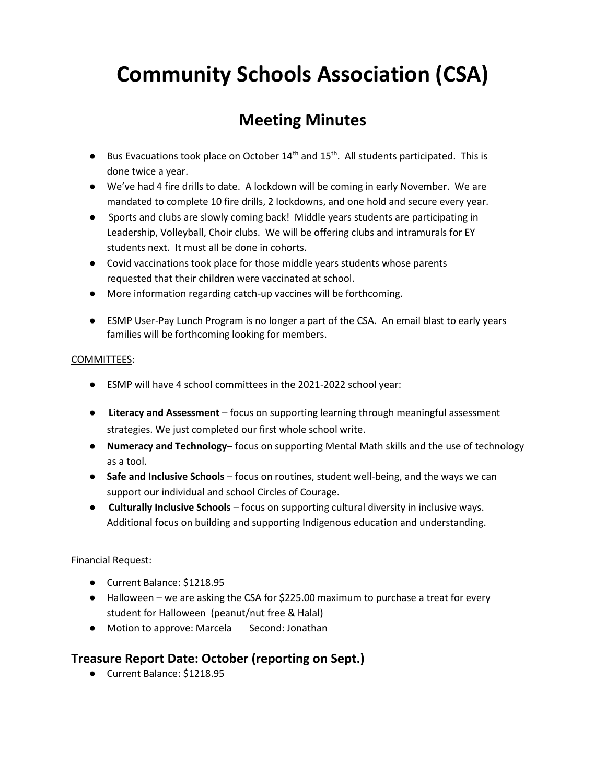# **Community Schools Association (CSA)**

## **Meeting Minutes**

- **•** Bus Evacuations took place on October  $14<sup>th</sup>$  and  $15<sup>th</sup>$ . All students participated. This is done twice a year.
- We've had 4 fire drills to date. A lockdown will be coming in early November. We are mandated to complete 10 fire drills, 2 lockdowns, and one hold and secure every year.
- Sports and clubs are slowly coming back! Middle years students are participating in Leadership, Volleyball, Choir clubs. We will be offering clubs and intramurals for EY students next. It must all be done in cohorts.
- Covid vaccinations took place for those middle years students whose parents requested that their children were vaccinated at school.
- More information regarding catch-up vaccines will be forthcoming.
- ESMP User-Pay Lunch Program is no longer a part of the CSA. An email blast to early years families will be forthcoming looking for members.

#### COMMITTEES:

- ESMP will have 4 school committees in the 2021-2022 school year:
- **Literacy and Assessment**  focus on supporting learning through meaningful assessment strategies. We just completed our first whole school write.
- **Numeracy and Technology** focus on supporting Mental Math skills and the use of technology as a tool.
- **•** Safe and Inclusive Schools focus on routines, student well-being, and the ways we can support our individual and school Circles of Courage.
- **Culturally Inclusive Schools**  focus on supporting cultural diversity in inclusive ways. Additional focus on building and supporting Indigenous education and understanding.

Financial Request:

- Current Balance: \$1218.95
- Halloween we are asking the CSA for \$225.00 maximum to purchase a treat for every student for Halloween (peanut/nut free & Halal)
- Motion to approve: Marcela Second: Jonathan

#### **Treasure Report Date: October (reporting on Sept.)**

● Current Balance: \$1218.95